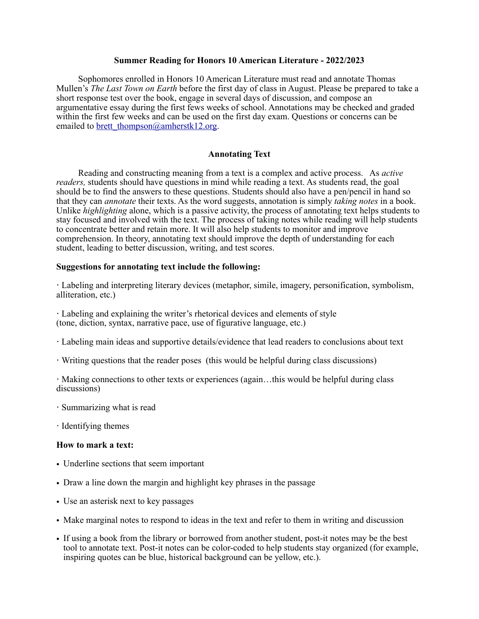#### **Summer Reading for Honors 10 American Literature - 2022/2023**

Sophomores enrolled in Honors 10 American Literature must read and annotate Thomas Mullen's *The Last Town on Earth* before the first day of class in August. Please be prepared to take a short response test over the book, engage in several days of discussion, and compose an argumentative essay during the first fews weeks of school. Annotations may be checked and graded within the first few weeks and can be used on the first day exam. Questions or concerns can be emailed to [brett\\_thompson@amherstk12.org.](mailto:brett_thompson@amherstk12.org)

# **Annotating Text**

Reading and constructing meaning from a text is a complex and active process. As *active readers,* students should have questions in mind while reading a text. As students read, the goal should be to find the answers to these questions. Students should also have a pen/pencil in hand so that they can *annotate* their texts. As the word suggests, annotation is simply *taking notes* in a book. Unlike *highlighting* alone, which is a passive activity, the process of annotating text helps students to stay focused and involved with the text. The process of taking notes while reading will help students to concentrate better and retain more. It will also help students to monitor and improve comprehension. In theory, annotating text should improve the depth of understanding for each student, leading to better discussion, writing, and test scores.

#### **Suggestions for annotating text include the following:**

**·** Labeling and interpreting literary devices (metaphor, simile, imagery, personification, symbolism, alliteration, etc.)

**·** Labeling and explaining the writer's rhetorical devices and elements of style (tone, diction, syntax, narrative pace, use of figurative language, etc.)

- **·** Labeling main ideas and supportive details/evidence that lead readers to conclusions about text
- **·** Writing questions that the reader poses (this would be helpful during class discussions)

**·** Making connections to other texts or experiences (again…this would be helpful during class discussions)

- **·** Summarizing what is read
- **·** Identifying themes

#### **How to mark a text:**

- Underline sections that seem important
- Draw a line down the margin and highlight key phrases in the passage
- Use an asterisk next to key passages
- Make marginal notes to respond to ideas in the text and refer to them in writing and discussion
- If using a book from the library or borrowed from another student, post-it notes may be the best tool to annotate text. Post-it notes can be color-coded to help students stay organized (for example, inspiring quotes can be blue, historical background can be yellow, etc.).